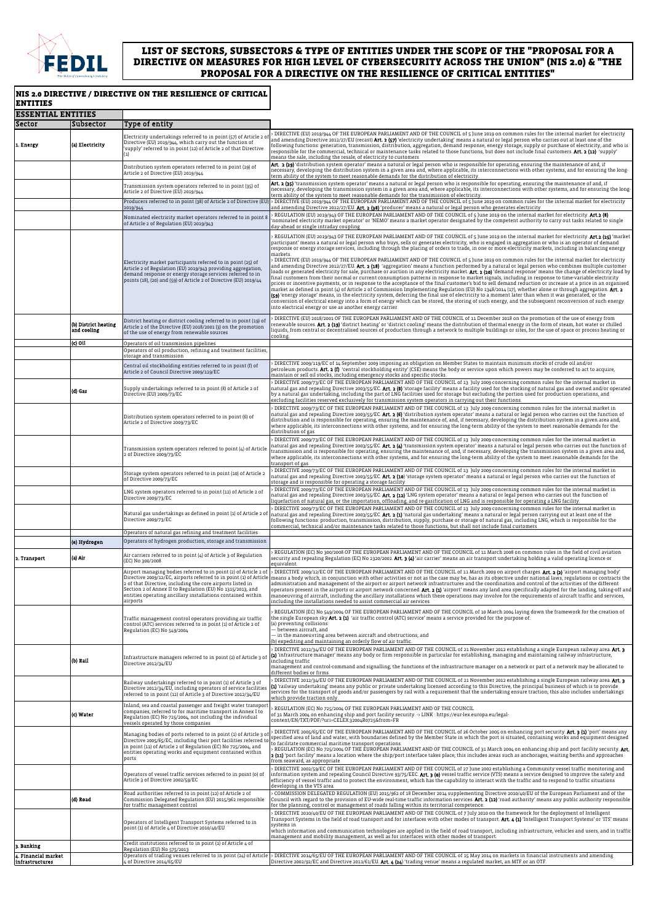| <b>ESSENTIAL ENTITIES</b>                            |                                                |                                                                                                                                                                                                                                                                           |                                                                                                                                                                                                                                                                                                                                                                                                                                                                                                                                                                                                                                                                                                                                                                                                                                                                                                                                                                                                                                                                                                                                                                                                                                                                                                                                                                                                                                                                                                                                                                                                                                                                                                                                                                                                                              |
|------------------------------------------------------|------------------------------------------------|---------------------------------------------------------------------------------------------------------------------------------------------------------------------------------------------------------------------------------------------------------------------------|------------------------------------------------------------------------------------------------------------------------------------------------------------------------------------------------------------------------------------------------------------------------------------------------------------------------------------------------------------------------------------------------------------------------------------------------------------------------------------------------------------------------------------------------------------------------------------------------------------------------------------------------------------------------------------------------------------------------------------------------------------------------------------------------------------------------------------------------------------------------------------------------------------------------------------------------------------------------------------------------------------------------------------------------------------------------------------------------------------------------------------------------------------------------------------------------------------------------------------------------------------------------------------------------------------------------------------------------------------------------------------------------------------------------------------------------------------------------------------------------------------------------------------------------------------------------------------------------------------------------------------------------------------------------------------------------------------------------------------------------------------------------------------------------------------------------------|
| Sector                                               | Subsector                                      | Type of entity                                                                                                                                                                                                                                                            |                                                                                                                                                                                                                                                                                                                                                                                                                                                                                                                                                                                                                                                                                                                                                                                                                                                                                                                                                                                                                                                                                                                                                                                                                                                                                                                                                                                                                                                                                                                                                                                                                                                                                                                                                                                                                              |
| 1. Energy                                            | (a) Electricity                                | Electricity undertakings referred to in point (57) of Article 2<br>Directive (EU) 2019/944, which carry out the function of<br>'supply' referred to in point (12) of Article 2 of that Directive<br>(1)                                                                   | DIRECTIVE (EU) 2019/944 OF THE EUROPEAN PARLIAMENT AND OF THE COUNCIL of 5 June 2019 on common rules for the internal market for electricity<br>and amending Directive 2012/27/EU (recast) Art. 2 (57) 'electricity undertaking' means a natural or legal person who carries out at least one of the<br>following functions: generation, transmission, distribution, aggregation, demand response, energy storage, supply or purchase of electricity, and who is<br>responsible for the commercial, technical or maintenance tasks related to those functions, but does not include final customers. Art. 2 (12) 'supply'<br>means the sale, including the resale, of electricity to customers.                                                                                                                                                                                                                                                                                                                                                                                                                                                                                                                                                                                                                                                                                                                                                                                                                                                                                                                                                                                                                                                                                                                              |
|                                                      |                                                | Distribution system operators referred to in point (29) of<br>Article 2 of Directive (EU) 2019/944                                                                                                                                                                        | Art. 2 (29) 'distribution system operator' means a natural or legal person who is responsible for operating, ensuring the maintenance of and, if<br>necessary, developing the distribution system in a given area and, where applicable, its interconnections with other systems, and for ensuring the long-<br>term ability of the system to meet reasonable demands for the distribution of electricity.                                                                                                                                                                                                                                                                                                                                                                                                                                                                                                                                                                                                                                                                                                                                                                                                                                                                                                                                                                                                                                                                                                                                                                                                                                                                                                                                                                                                                   |
|                                                      |                                                | Transmission system operators referred to in point (35) of<br>Article 2 of Directive (EU) 2019/944                                                                                                                                                                        | Art. 2 (35) 'transmission system operator' means a natural or legal person who is responsible for operating, ensuring the maintenance of and, if<br>necessary, developing the transmission system in a given area and, where applicable, its interconnections with other systems, and for ensuring the long-<br>term ability of the system to meet reasonable demands for the transmission of electricity.                                                                                                                                                                                                                                                                                                                                                                                                                                                                                                                                                                                                                                                                                                                                                                                                                                                                                                                                                                                                                                                                                                                                                                                                                                                                                                                                                                                                                   |
|                                                      |                                                | Producers referred to in point (38) of Article 2 of Directive (EU<br>2019/944                                                                                                                                                                                             | > DIRECTIVE (EU) 2019/944 OF THE EUROPEAN PARLIAMENT AND OF THE COUNCIL of 5 June 2019 on common rules for the internal market for electricity<br>and amending Directive 2012/27/EU. <b>Art. 2 (38)</b> 'producer' means a natural or legal person who generates electricity.                                                                                                                                                                                                                                                                                                                                                                                                                                                                                                                                                                                                                                                                                                                                                                                                                                                                                                                                                                                                                                                                                                                                                                                                                                                                                                                                                                                                                                                                                                                                                |
|                                                      |                                                | Nominated electricity market operators referred to in point<br>of Article 2 of Regulation (EU) 2019/943                                                                                                                                                                   | REGULATION (EU) 2019/943 OF THE EUROPEAN PARLIAMENT AND OF THE COUNCIL of 5 June 2019 on the internal market for electricity. Art.2 (8)<br>'nominated electricity market operator' or 'NEMO' means a market operator designated by the competent authority to carry out tasks related to single<br>day-ahead or single intraday coupling                                                                                                                                                                                                                                                                                                                                                                                                                                                                                                                                                                                                                                                                                                                                                                                                                                                                                                                                                                                                                                                                                                                                                                                                                                                                                                                                                                                                                                                                                     |
|                                                      |                                                | Electricity market participants referred to in point (25) of<br>Article 2 of Regulation (EU) 2019/943 providing aggregation,<br>demand response or energy storage services referred to in<br>points (18), (20) and (59) of Article 2 of Directive (EU) 2019/44            | REGULATION (EU) 2019/943 OF THE EUROPEAN PARLIAMENT AND OF THE COUNCIL of 5 June 2019 on the internal market for electricity. <b>Art.2 (25)</b> 'market<br>participant' means a natural or legal person who buys, sells or generates electricity, who is engaged in aggregation or who is an operator of demand<br>response or energy storage services, including through the placing of orders to trade, in one or more electricity markets, including in balancing energy<br>markets.<br>DIRECTIVE (EU) 2019/944 OF THE EUROPEAN PARLIAMENT AND OF THE COUNCIL of 5 June 2019 on common rules for the internal market for electricity ><br>and amending Directive 2012/27/EU. Art. 2 (18) 'aggregation' means a function performed by a natural or legal person who combines multiple customer<br>loads or generated electricity for sale, purchase or auction in any electricity market. Art. 2 (20) 'demand response' means the change of electricity load by<br>final customers from their normal or current consumption patterns in response to market signals, including in response to time-variable electricity<br>prices or incentive payments, or in response to the acceptance of the final customer's bid to sell demand reduction or increase at a price in an organised<br>market as defined in point (4) of Article 2 of Commission Implementing Regulation (EU) No 1348/2014 (17), whether alone or through aggregation. Art. 2<br>(59) 'energy storage' means, in the electricity system, deferring the final use of electricity to a moment later than when it was generated, or the<br>conversion of electrical energy into a form of energy which can be stored, the storing of such energy, and the subsequent reconversion of such energy<br>into electrical energy or use as another energy carrier. |
|                                                      | (b) District heating<br>and cooling<br>(c) Oil | District heating or district cooling referred to in point (19) of<br>Article 2 of the Directive (EU) 2018/2001 (3) on the promotion<br>of the use of energy from renewable sources<br>Operators of oil transmission pipelines                                             | DIRECTIVE (EU) 2018/2001 OF THE EUROPEAN PARLIAMENT AND OF THE COUNCIL of 11 December 2018 on the promotion of the use of energy from<br>renewable sources. Art. 2 (19) 'district heating' or 'district cooling' means the distribution of thermal energy in the form of steam, hot water or chilled<br>liquids, from central or decentralised sources of production through a network to multiple buildings or sites, for the use of space or process heating or<br>cooling.                                                                                                                                                                                                                                                                                                                                                                                                                                                                                                                                                                                                                                                                                                                                                                                                                                                                                                                                                                                                                                                                                                                                                                                                                                                                                                                                                |
|                                                      |                                                | Operators of oil production, refining and treatment facilities,                                                                                                                                                                                                           |                                                                                                                                                                                                                                                                                                                                                                                                                                                                                                                                                                                                                                                                                                                                                                                                                                                                                                                                                                                                                                                                                                                                                                                                                                                                                                                                                                                                                                                                                                                                                                                                                                                                                                                                                                                                                              |
|                                                      |                                                | storage and transmission<br>Central oil stockholding entities referred to in point (f) of<br>Article 2 of Council Directive 2009/119/EC                                                                                                                                   | DIRECTIVE 2009/119/EC of 14 September 2009 imposing an obligation on Member States to maintain minimum stocks of crude oil and/or<br>petroleum products. Art. 2 (f) 'central stockholding entity' (CSE) means the body or service upon which powers may be conferred to act to acquire,<br>maintain or sell oil stocks, including emergency stocks and specific stocks.                                                                                                                                                                                                                                                                                                                                                                                                                                                                                                                                                                                                                                                                                                                                                                                                                                                                                                                                                                                                                                                                                                                                                                                                                                                                                                                                                                                                                                                      |
|                                                      | (d) Gas                                        | Supply undertakings referred to in point (8) of Article 2 of<br>Directive (EU) 2009/73/EC                                                                                                                                                                                 | DIRECTIVE 2009/73/EC OF THE EUROPEAN PARLIAMENT AND OF THE COUNCIL of 13 July 2009 concerning common rules for the internal market in<br>natural gas and repealing Directive 2003/55/EC. Art. 2 (8) 'storage facility' means a facility used for the stocking of natural gas and owned and/or operated<br>by a natural gas undertaking, including the part of LNG facilities used for storage but excluding the portion used for production operations, and<br>excluding facilities reserved exclusively for transmission system operators in carrying out their functions.                                                                                                                                                                                                                                                                                                                                                                                                                                                                                                                                                                                                                                                                                                                                                                                                                                                                                                                                                                                                                                                                                                                                                                                                                                                  |
|                                                      |                                                | Distribution system operators referred to in point (6) of<br>Article 2 of Directive 2009/73/EC                                                                                                                                                                            | DIRECTIVE 2009/73/EC OF THE EUROPEAN PARLIAMENT AND OF THE COUNCIL of 13 July 2009 concerning common rules for the internal market in<br>natural gas and repealing Directive 2003/55/EC. Art. 2 (6) 'distribution system operator' means a natural or legal person who carries out the function of<br>distribution and is responsible for operating, ensuring the maintenance of, and, if necessary, developing the distribution system in a given area and,<br>where applicable, its interconnections with other systems, and for ensuring the long-term ability of the system to meet reasonable demands for the<br>distribution of gas.                                                                                                                                                                                                                                                                                                                                                                                                                                                                                                                                                                                                                                                                                                                                                                                                                                                                                                                                                                                                                                                                                                                                                                                   |
|                                                      |                                                | Transmission system operators referred to point (4) of Article<br>2 of Directive 2009/73/EC                                                                                                                                                                               | DIRECTIVE 2009/73/EC OF THE EUROPEAN PARLIAMENT AND OF THE COUNCIL of 13 July 2009 concerning common rules for the internal market in<br>natural gas and repealing Directive 2003/55/EC. Art. 2 (4) 'transmission system operator' means a natural or legal person who carries out the function of<br>transmission and is responsible for operating, ensuring the maintenance of, and, if necessary, developing the transmission system in a given area and,<br>where applicable, its interconnections with other systems, and for ensuring the long-term ability of the system to meet reasonable demands for the<br>transport of gas.                                                                                                                                                                                                                                                                                                                                                                                                                                                                                                                                                                                                                                                                                                                                                                                                                                                                                                                                                                                                                                                                                                                                                                                      |
|                                                      |                                                | Storage system operators referred to in point (10) of Article 2<br>of Directive 2009/73/EC                                                                                                                                                                                | DIRECTIVE 2009/73/EC OF THE EUROPEAN PARLIAMENT AND OF THE COUNCIL of 13 July 2009 concerning common rules for the internal market in<br>natural gas and repealing Directive 2003/55/EC. <b>Art. 2 (10</b> ) 'storage system operator' means a natural or legal person who carries out the function of<br>storage and is responsible for operating a storage facility.                                                                                                                                                                                                                                                                                                                                                                                                                                                                                                                                                                                                                                                                                                                                                                                                                                                                                                                                                                                                                                                                                                                                                                                                                                                                                                                                                                                                                                                       |
|                                                      |                                                | LNG system operators referred to in point (12) of Article 2 of<br>Directive 2009/73/EC                                                                                                                                                                                    | DIRECTIVE 2009/73/EC OF THE EUROPEAN PARLIAMENT AND OF THE COUNCIL of 13 July 2009 concerning common rules for the internal market in<br>natural gas and repealing Directive 2003/55/EC. Art. 2 (12) 'LNG system operator' means a natural or legal person who carries out the function of<br>liquefaction of natural gas, or the importation, offloading, and re-gasification of LNG and is responsible for operating a LNG facility.                                                                                                                                                                                                                                                                                                                                                                                                                                                                                                                                                                                                                                                                                                                                                                                                                                                                                                                                                                                                                                                                                                                                                                                                                                                                                                                                                                                       |
|                                                      |                                                | Natural gas undertakings as defined in point (1) of Article 2 of<br>Directive 2009/73/EC                                                                                                                                                                                  | DIRECTIVE 2009/73/EC OF THE EUROPEAN PARLIAMENT AND OF THE COUNCIL of 13 July 2009 concerning common rules for the internal market in<br>natural gas and repealing Directive 2003/55/EC. <b>Art. 2 (1)</b> 'natural gas undertaking' means a natural or legal person carrying out at least one of the<br>following functions: production, transmission, distribution, supply, purchase or storage of natural gas, including LNG, which is responsible for the<br>commercial, technical and/or maintenance tasks related to those functions, but shall not include final customers.                                                                                                                                                                                                                                                                                                                                                                                                                                                                                                                                                                                                                                                                                                                                                                                                                                                                                                                                                                                                                                                                                                                                                                                                                                           |
|                                                      | (e) Hydrogen                                   | Operators of natural gas refining and treatment facilities<br>Operators of hydrogen production, storage and transmission                                                                                                                                                  |                                                                                                                                                                                                                                                                                                                                                                                                                                                                                                                                                                                                                                                                                                                                                                                                                                                                                                                                                                                                                                                                                                                                                                                                                                                                                                                                                                                                                                                                                                                                                                                                                                                                                                                                                                                                                              |
| 2. Transport                                         | (a) Air-                                       | Air carriers referred to in point (4) of Article 3 of Regulation<br>(EC) No 300/2008                                                                                                                                                                                      | REGULATION (EC) No 300/2008 OF THE EUROPEAN PARLIAMENT AND OF THE COUNCIL of 11 March 2008 on common rules in the field of civil aviation<br>security and repealing Regulation (EC) No 2320/2002. <b>Art. 3 (4)</b> 'air carrier' means an air transport undertaking holding a valid operating licence or<br>equivalent.                                                                                                                                                                                                                                                                                                                                                                                                                                                                                                                                                                                                                                                                                                                                                                                                                                                                                                                                                                                                                                                                                                                                                                                                                                                                                                                                                                                                                                                                                                     |
|                                                      |                                                | Airport managing bodies referred to in point (2) of Article 2 of<br>2 of that Directive, including the core airports listed in<br>Section 2 of Annex II to Regulation (EU) No 1315/2013, and<br>entities operating ancillary installations contained within<br>airports   | > DIRECTIVE 2009/12/EC OF THE EUROPEAN PARLIAMENT AND OF THE COUNCIL of 11 March 2009 on airport charges. Art. 2 (2) 'airport managing body'<br>Directive 2009/12/EC, airports referred to in point (1) of Article means a body which, in conjunction with other activities or not as the case may be, has as its objective under national laws, regulations or contracts the<br>administration and management of the airport or airport network infrastructures and the coordination and control of the activities of the different<br>operators present in the airports or airport network concerned. Art. 2 (1) 'airport' means any land area specifically adapted for the landing, taking off and<br>manoeuvring of aircraft, including the ancillary installations which these operations may involve for the requirements of aircraft traffic and services,<br>including the installations needed to assist commercial air services.                                                                                                                                                                                                                                                                                                                                                                                                                                                                                                                                                                                                                                                                                                                                                                                                                                                                                   |
|                                                      |                                                | Traffic management control operators providing air traffic<br>control (ATC) services referred to in point (1) of Article 2 of<br>Regulation (EC) No 549/2004                                                                                                              | REGULATION (EC) No 549/2004 OF THE EUROPEAN PARLIAMENT AND OF THE COUNCIL of 10 March 2004 laying down the framework for the creation of<br>the single European sky Art. 2 (1) 'air traffic control (ATC) service' means a service provided for the purpose of:<br>(a) preventing collisions:<br>– between aircraft, and<br>- in the manoeuvring area between aircraft and obstructions; and<br>(b) expediting and maintaining an orderly flow of air traffic.                                                                                                                                                                                                                                                                                                                                                                                                                                                                                                                                                                                                                                                                                                                                                                                                                                                                                                                                                                                                                                                                                                                                                                                                                                                                                                                                                               |
|                                                      | (b) Rail                                       | Infrastructure managers referred to in point (2) of Article 3 o<br>Directive 2012/34/EU                                                                                                                                                                                   | DIRECTIVE 2012/34/EU OF THE EUROPEAN PARLIAMENT AND OF THE COUNCIL of 21 November 2012 establishing a single European railway area. Art. 3<br>(2) 'infrastructure manager' means any body or firm responsible in particular for establishing, managing and maintaining railway infrastructure,<br>including traffic<br>management and control-command and signalling; the functions of the infrastructure manager on a network or part of a network may be allocated to<br>different bodies or firms.                                                                                                                                                                                                                                                                                                                                                                                                                                                                                                                                                                                                                                                                                                                                                                                                                                                                                                                                                                                                                                                                                                                                                                                                                                                                                                                        |
|                                                      |                                                | Railway undertakings referred to in point (1) of Article 3 of<br>Directive 2012/34/EU, including operators of service facilitie<br>referred to in point (12) of Article 3 of Directive 2012/34/EU                                                                         | DIRECTIVE 2012/34/EU OF THE EUROPEAN PARLIAMENT AND OF THE COUNCIL of 21 November 2012 establishing a single European railway area. Art. 3<br>$\left  \text{1} \right\rangle$ 'railway undertaking' means any public or private undertaking licensed according to this Directive, the principal business of which is to provide<br>services for the transport of goods and/or passengers by rail with a requirement that the undertaking ensure traction; this also includes undertakings<br>which provide traction only.                                                                                                                                                                                                                                                                                                                                                                                                                                                                                                                                                                                                                                                                                                                                                                                                                                                                                                                                                                                                                                                                                                                                                                                                                                                                                                    |
|                                                      | (c) Water                                      | Inland, sea and coastal passenger and freight water transpo<br>companies, referred to for maritime transport in Annex I to<br>Regulation (EC) No 725/2004, not including the individual<br>vessels operated by those companies                                            | REGULATION (EC) No 725/2004 OF THE EUROPEAN PARLIAMENT AND OF THE COUNCIL<br>of 31 March 2004 on enhancing ship and port facility security. -> LINK : https://eur-lex.europa.eu/legal-<br>content/EN/TXT/PDF/?uri=CELEX:32004R0725&from=FR                                                                                                                                                                                                                                                                                                                                                                                                                                                                                                                                                                                                                                                                                                                                                                                                                                                                                                                                                                                                                                                                                                                                                                                                                                                                                                                                                                                                                                                                                                                                                                                   |
|                                                      |                                                | Managing bodies of ports referred to in point (1) of Article 3<br>Directive 2005/65/EC, including their port facilities referred to<br>in point (11) of Article 2 of Regulation (EC) No 725/2004, and<br>entities operating works and equipment contained within<br>ports | DIRECTIVE 2005/65/EC OF THE EUROPEAN PARLIAMENT AND OF THE COUNCIL of 26 October 2005 on enhancing port security. Art. 3 (1) 'port' means any<br>specified area of land and water, with boundaries defined by the Member State in which the port is situated, containing works and equipment designed<br>to facilitate commercial maritime transport operations.<br>$\overline{b}$ REGULATION (EC) No 725/2004 OF THE EUROPEAN PARLIAMENT AND OF THE COUNCIL of 31 March 2004 on enhancing ship and port facility security. <b>Art.</b><br>2 (11) 'port facility' means a location where the ship/port interface takes place; this includes areas such as anchorages, waiting berths and approaches<br>from seaward, as appropriate.                                                                                                                                                                                                                                                                                                                                                                                                                                                                                                                                                                                                                                                                                                                                                                                                                                                                                                                                                                                                                                                                                         |
|                                                      |                                                | Operators of vessel traffic services referred to in point (o) of<br>Article 3 of Directive 2002/59/EC                                                                                                                                                                     | DIRECTIVE 2002/59/EC OF THE EUROPEAN PARLIAMENT AND OF THE COUNCIL of 27 June 2002 establishing a Community vessel traffic monitoring and<br>information system and repealing Council Directive 93/75/EEC. Art. 3 (o) vessel traffic service (VTS) means a service designed to improve the safety and<br>efficiency of vessel traffic and to protect the environment, which has the capability to interact with the traffic and to respond to traffic situations<br>developing in the VTS area.                                                                                                                                                                                                                                                                                                                                                                                                                                                                                                                                                                                                                                                                                                                                                                                                                                                                                                                                                                                                                                                                                                                                                                                                                                                                                                                              |
|                                                      | (d) Road                                       | Road authorities referred to in point (12) of Article 2 of<br>Commission Delegated Regulation (EU) 2015/962 responsible<br>for traffic management control                                                                                                                 | COMMISSION DELEGATED REGULATION (EU) 2015/962 of 18 December 2014 supplementing Directive 2010/40/EU of the European Parliament and of the<br>Council with regard to the provision of EU-wide real-time traffic information services. Art. 2 (12) 'road authority' means any public authority responsible<br>for the planning, control or management of roads falling within its territorial competence.                                                                                                                                                                                                                                                                                                                                                                                                                                                                                                                                                                                                                                                                                                                                                                                                                                                                                                                                                                                                                                                                                                                                                                                                                                                                                                                                                                                                                     |
|                                                      |                                                | Operators of Intelligent Transport Systems referred to in<br>point (1) of Article 4 of Directive 2010/40/EU                                                                                                                                                               | DIRECTIVE 2010/40/EU OF THE EUROPEAN PARLIAMENT AND OF THE COUNCIL of 7 July 2010 on the framework for the deployment of Intelligent<br>Transport Systems in the field of road transport and for interfaces with other modes of transport. Art. 4 (1) 'Intelligent Transport Systems' or 'ITS' means<br>systems in<br>which information and communication technologies are applied in the field of road transport, including infrastructure, vehicles and users, and in traffic<br>management and mobility management, as well as for interfaces with other modes of transport.                                                                                                                                                                                                                                                                                                                                                                                                                                                                                                                                                                                                                                                                                                                                                                                                                                                                                                                                                                                                                                                                                                                                                                                                                                              |
| 3. Banking<br>4. Financial market<br>infrastructures |                                                | Credit institutions referred to in point (1) of Article 4 of<br>Regulation (EU) No 575/2013<br>4 of Directive 2014/65/EU                                                                                                                                                  | Operators of trading venues referred to in point (24) of Article > DIRECTIVE 2014/65/EU OF THE EUROPEAN PARLIAMENT AND OF THE COUNCIL of 15 May 2014 on markets in financial instruments and amending<br>Directive 2002/92/EC and Directive 2011/61/EU. Art. 4 (24) 'trading venue' means a regulated market, an MTF or an OTF.                                                                                                                                                                                                                                                                                                                                                                                                                                                                                                                                                                                                                                                                                                                                                                                                                                                                                                                                                                                                                                                                                                                                                                                                                                                                                                                                                                                                                                                                                              |

## NIS 2.0 DIRECTIVE / DIRECTIVE ON THE RESILIENCE OF CRITICAL ENTITIES



## LIST OF SECTORS, SUBSECTORS & TYPE OF ENTITIES UNDER THE SCOPE OF THE "PROPOSAL FOR A DIRECTIVE ON MEASURES FOR HIGH LEVEL OF CYBERSECURITY ACROSS THE UNION" (NIS 2.0) & "THE PROPOSAL FOR A DIRECTIVE ON THE RESILIENCE OF CRITICAL ENTITIES"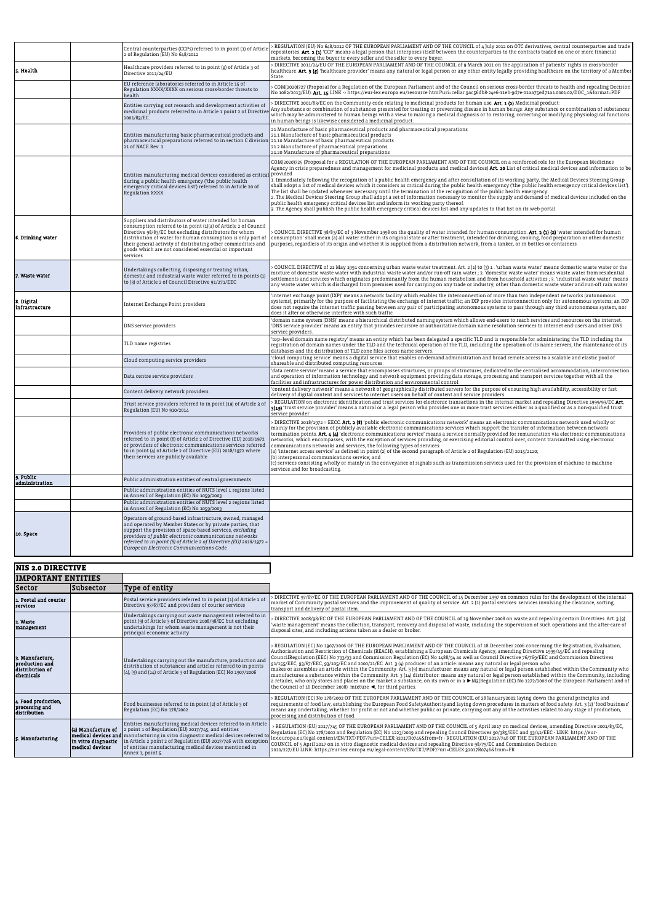|                              |  | Central counterparties (CCPs) referred to in point (1) of Article<br>2 of Regulation (EU) No 648/2012                                                                                                                                                                                                                                                                                                       | REGULATION (EU) No 648/2012 OF THE EUROPEAN PARLIAMENT AND OF THE COUNCIL of 4 July 2012 on OTC derivatives, central counterparties and trade<br>repositories. Art. 2 (1) 'CCP' means a legal person that interposes itself between the counterparties to the contracts traded on one or more financial<br>markets, becoming the buyer to every seller and the seller to every buyer.                                                                                                                                                                                                                                                                                                                                                                                                                                                                                                                                                                                                                                                                                                                                                            |
|------------------------------|--|-------------------------------------------------------------------------------------------------------------------------------------------------------------------------------------------------------------------------------------------------------------------------------------------------------------------------------------------------------------------------------------------------------------|--------------------------------------------------------------------------------------------------------------------------------------------------------------------------------------------------------------------------------------------------------------------------------------------------------------------------------------------------------------------------------------------------------------------------------------------------------------------------------------------------------------------------------------------------------------------------------------------------------------------------------------------------------------------------------------------------------------------------------------------------------------------------------------------------------------------------------------------------------------------------------------------------------------------------------------------------------------------------------------------------------------------------------------------------------------------------------------------------------------------------------------------------|
| Health                       |  | Healthcare providers referred to in point (g) of Article 3 of<br>Directive 2011/24/EU                                                                                                                                                                                                                                                                                                                       | DIRECTIVE 2011/24/EU OF THE EUROPEAN PARLIAMENT AND OF THE COUNCIL of 9 March 2011 on the application of patients' rights in cross-border<br>healthcare. Art. 3 (g) 'healthcare provider' means any natural or legal person or any other entity legally providing healthcare on the territory of a Member<br>State.                                                                                                                                                                                                                                                                                                                                                                                                                                                                                                                                                                                                                                                                                                                                                                                                                              |
|                              |  | EU reference laboratories referred to in Article 15 of<br>Regulation XXXX/XXXX on serious cross-border threats to<br>health                                                                                                                                                                                                                                                                                 | COM(2020)727 (Proposal for a Regulation of the European Parliament and of the Council on serious cross-border threats to health and repealing Decision<br>No 1082/2013/EU). Art. 15 LINK -> https://eur-lex.europa.eu/resource.html?uri=cellar:9ac56db8-24e6-11eb-9d7e-01aa75ed71a1.0001.02/DOC_1&format=PDF                                                                                                                                                                                                                                                                                                                                                                                                                                                                                                                                                                                                                                                                                                                                                                                                                                     |
|                              |  | Entities carrying out research and development activities of<br>medicinal products referred to in Article 1 point 2 of Directiv<br>2001/83/EC.                                                                                                                                                                                                                                                              | DIRECTIVE 2001/83/EC on the Community code relating to medicinal products for human use. Art. 1 (2) Medicinal product:<br>Any substance or combination of substances presented for treating or preventing disease in human beings. Any substance or combination of substances<br>which may be administered to human beings with a view to making a medical diagnosis or to restoring, correcting or modifying physiological functions<br>in human beings is likewise considered a medicinal product.                                                                                                                                                                                                                                                                                                                                                                                                                                                                                                                                                                                                                                             |
|                              |  | Entities manufacturing basic pharmaceutical products and<br>pharmaceutical preparations referred to in section C division<br>21 of NACE Rev. 2                                                                                                                                                                                                                                                              | 21 Manufacture of basic pharmaceutical products and pharmaceutical preparations<br>21.1 Manufacture of basic pharmaceutical products<br>21.10 Manufacture of basic pharmaceutical products<br>21.2 Manufacture of pharmaceutical preparations<br>21.20 Manufacture of pharmaceutical preparations                                                                                                                                                                                                                                                                                                                                                                                                                                                                                                                                                                                                                                                                                                                                                                                                                                                |
|                              |  | Entities manufacturing medical devices considered as critical<br>during a public health emergency ('the public health<br>emergency critical devices list') referred to in Article 20 of<br><b>Regulation XXXX</b>                                                                                                                                                                                           | COM(2020)725 (Proposal for a REGULATION OF THE EUROPEAN PARLIAMENT AND OF THE COUNCIL on a reinforced role for the European Medicines<br>Agency in crisis preparedness and management for medicinal products and medical devices) Art. 20 List of critical medical devices and information to be<br>provided<br>1. Immediately following the recognition of a public health emergency and after consultation of its working party, the Medical Devices Steering Group<br>shall adopt a list of medical devices which it considers as critical during the public health emergency ('the public health emergency critical devices list').<br>The list shall be updated whenever necessary until the termination of the recognition of the public health emergency.<br>2. The Medical Devices Steering Group shall adopt a set of information necessary to monitor the supply and demand of medical devices included on the<br>public health emergency critical devices list and inform its working party thereof.<br>3. The Agency shall publish the public health emergency critical devices list and any updates to that list on its web-portal. |
| 6. Drinking water            |  | Suppliers and distributors of water intended for human<br>consumption referred to in point (1)(a) of Article 2 of Council<br>Directive 98/83/EC but excluding distributors for whom<br>distribution of water for human consumption is only part of<br>their general activity of distributing other commodities and<br>goods which are not considered essential or important<br>services                     | COUNCIL DIRECTIVE 98/83/EC of 3 November 1998 on the quality of water intended for human consumption. Art. 2 (1) (a) 'water intended for human<br>consumption' shall mean (a) all water either in its original state or after treatment, intended for drinking, cooking, food preparation or other domestic<br>purposes, regardless of its origin and whether it is supplied from a distribution network, from a tanker, or in bottles or containers.                                                                                                                                                                                                                                                                                                                                                                                                                                                                                                                                                                                                                                                                                            |
| 7. Waste water               |  | Undertakings collecting, disposing or treating urban,<br>domestic and industrial waste water referred to in points (1)<br>to (3) of Article 2 of Council Directive 91/271/EEC                                                                                                                                                                                                                               | COUNCIL DIRECTIVE of 21 May 1991 concerning urban waste water treatment. Art. 2 (1) to (3) 1. 'urban waste water' means domestic waste water or the<br>mixture of domestic waste water with industrial waste water and/or run-off rain water ; 2. 'domestic waste water' means waste water from residential<br>settlements and services which originates predominantly from the human metabolism and from household activities; 3. 'industrial waste water' means<br>any waste water which is discharged from premises used for carrying on any trade or industry, other than domestic waste water and run-off rain water                                                                                                                                                                                                                                                                                                                                                                                                                                                                                                                        |
| 8. Digital<br>infrastructure |  | Internet Exchange Point providers                                                                                                                                                                                                                                                                                                                                                                           | 'internet exchange point (IXP)' means a network facility which enables the interconnection of more than two independent networks (autonomous<br>systems), primarily for the purpose of facilitating the exchange of internet traffic; an IXP provides interconnection only for autonomous systems; an IXP<br>does not require the internet traffic passing between any pair of participating autonomous systems to pass through any third autonomous system, nor<br>does it alter or otherwise interfere with such traffic.                                                                                                                                                                                                                                                                                                                                                                                                                                                                                                                                                                                                                      |
|                              |  | DNS service providers                                                                                                                                                                                                                                                                                                                                                                                       | 'domain name system (DNS)' means a hierarchical distributed naming system which allows end-users to reach services and resources on the internet.<br>'DNS service provider' means an entity that provides recursive or authoritative domain name resolution services to internet end-users and other DNS<br>service providers.                                                                                                                                                                                                                                                                                                                                                                                                                                                                                                                                                                                                                                                                                                                                                                                                                   |
|                              |  | TLD name registries                                                                                                                                                                                                                                                                                                                                                                                         | top-level domain name registry' means an entity which has been delegated a specific TLD and is responsible for administering the TLD including the<br>registration of domain names under the TLD and the technical operation of the TLD, including the operation of its name servers, the maintenance of its<br>databases and the distribution of TLD zone files across name servers.                                                                                                                                                                                                                                                                                                                                                                                                                                                                                                                                                                                                                                                                                                                                                            |
|                              |  | Cloud computing service providers                                                                                                                                                                                                                                                                                                                                                                           | 'cloud computing service' means a digital service that enables on-demand administration and broad remote access to a scalable and elastic pool of<br>shareable and distributed computing resources.                                                                                                                                                                                                                                                                                                                                                                                                                                                                                                                                                                                                                                                                                                                                                                                                                                                                                                                                              |
|                              |  | Data centre service providers                                                                                                                                                                                                                                                                                                                                                                               | 'data centre service' means a service that encompasses structures, or groups of structures, dedicated to the centralised accommodation, interconnection<br>and operation of information technology and network equipment providing data storage, processing and transport services together with all the<br>facilities and infrastructures for power distribution and environmental control.                                                                                                                                                                                                                                                                                                                                                                                                                                                                                                                                                                                                                                                                                                                                                     |
|                              |  | Content delivery network providers                                                                                                                                                                                                                                                                                                                                                                          | 'content delivery network' means a network of geographically distributed servers for the purpose of ensuring high availability, accessibility or fast<br>delivery of digital content and services to internet users on behalf of content and service providers.                                                                                                                                                                                                                                                                                                                                                                                                                                                                                                                                                                                                                                                                                                                                                                                                                                                                                  |
|                              |  | Trust service providers referred to in point (19) of Article 3 of<br>Regulation (EU) No 910/2014                                                                                                                                                                                                                                                                                                            | REGULATION on electronic identification and trust services for electronic transactions in the internal market and repealing Directive 1999/93/EC Art.<br>3(19) 'trust service provider' means a natural or a legal person who provides one or more trust services either as a qualified or as a non-qualified trust<br>service provider                                                                                                                                                                                                                                                                                                                                                                                                                                                                                                                                                                                                                                                                                                                                                                                                          |
|                              |  | Providers of public electronic communications networks<br>referred to in point (8) of Article 2 of Directive (EU) 2018/1972<br>or providers of electronic communications services referred<br>to in point (4) of Article 2 of Directive (EU) 2018/1972 where<br>their services are publicly available                                                                                                       | DIRECTIVE 2018/1972 = EECC. Art. 2 (8) 'public electronic communications network' means an electronic communications network used wholly or<br>mainly for the provision of publicly available electronic communications services which support the transfer of information between network<br>termination points. Art. 4 (4) 'electronic communications service' means a service normally provided for remuneration via electronic communications<br>networks, which encompasses, with the exception of services providing, or exercising editorial control over, content transmitted using electronic<br>communications networks and services, the following types of services:<br>(a) 'internet access service' as defined in point (2) of the second paragraph of Article 2 of Regulation (EU) 2015/2120;<br>(b) interpersonal communications service; and<br>(c) services consisting wholly or mainly in the conveyance of signals such as transmission services used for the provision of machine-to-machine<br>services and for broadcasting.                                                                                              |
| 9. Public<br>administration  |  | Public administration entities of central governments                                                                                                                                                                                                                                                                                                                                                       |                                                                                                                                                                                                                                                                                                                                                                                                                                                                                                                                                                                                                                                                                                                                                                                                                                                                                                                                                                                                                                                                                                                                                  |
|                              |  | Public administration entities of NUTS level 1 regions listed<br>in Annex I of Regulation (EC) No 1059/2003<br>Public administration entities of NUTS level 2 regions listed                                                                                                                                                                                                                                |                                                                                                                                                                                                                                                                                                                                                                                                                                                                                                                                                                                                                                                                                                                                                                                                                                                                                                                                                                                                                                                                                                                                                  |
| 10. Space                    |  | in Annex I of Regulation (EC) No 1059/2003<br>Operators of ground-based infrastructure, owned, managed<br>and operated by Member States or by private parties, that<br>support the provision of space-based services, excluding<br>providers of public electronic communications networks<br>referred to in point (8) of Article 2 of Directive (EU) 2018/1972 =<br>European Electronic Communications Code |                                                                                                                                                                                                                                                                                                                                                                                                                                                                                                                                                                                                                                                                                                                                                                                                                                                                                                                                                                                                                                                                                                                                                  |
| <b>NIS 2.0 DIRECTIVE</b>     |  |                                                                                                                                                                                                                                                                                                                                                                                                             |                                                                                                                                                                                                                                                                                                                                                                                                                                                                                                                                                                                                                                                                                                                                                                                                                                                                                                                                                                                                                                                                                                                                                  |
| <b>IMPORTANT ENTITIES</b>    |  |                                                                                                                                                                                                                                                                                                                                                                                                             |                                                                                                                                                                                                                                                                                                                                                                                                                                                                                                                                                                                                                                                                                                                                                                                                                                                                                                                                                                                                                                                                                                                                                  |
|                              |  |                                                                                                                                                                                                                                                                                                                                                                                                             |                                                                                                                                                                                                                                                                                                                                                                                                                                                                                                                                                                                                                                                                                                                                                                                                                                                                                                                                                                                                                                                                                                                                                  |

| <b>IMPORTANT ENTITIES</b>                                         |                  |                                                                                                                                                                                                                 |                                                                                                                                                                                                                                                                                                                                                                                                                                                                                                                                                                                                                                                                                                                                                                                                                                                                                                                                                                                                                                                                                                                      |
|-------------------------------------------------------------------|------------------|-----------------------------------------------------------------------------------------------------------------------------------------------------------------------------------------------------------------|----------------------------------------------------------------------------------------------------------------------------------------------------------------------------------------------------------------------------------------------------------------------------------------------------------------------------------------------------------------------------------------------------------------------------------------------------------------------------------------------------------------------------------------------------------------------------------------------------------------------------------------------------------------------------------------------------------------------------------------------------------------------------------------------------------------------------------------------------------------------------------------------------------------------------------------------------------------------------------------------------------------------------------------------------------------------------------------------------------------------|
| <b>Sector</b>                                                     | <b>Subsector</b> | Type of entity                                                                                                                                                                                                  |                                                                                                                                                                                                                                                                                                                                                                                                                                                                                                                                                                                                                                                                                                                                                                                                                                                                                                                                                                                                                                                                                                                      |
| L. Postal and courier<br>services                                 |                  | Postal service providers referred to in point (1) of Article 2 of<br>Directive 97/67/EC and providers of courier services                                                                                       | DIRECTIVE 97/67/EC OF THE EUROPEAN PARLIAMENT AND OF THE COUNCIL of 15 December 1997 on common rules for the development of the internal<br>market of Community postal services and the improvement of quality of service. Art. 2 (1) postal services: services involving the clearance, sorting,<br>transport and delivery of postal item.                                                                                                                                                                                                                                                                                                                                                                                                                                                                                                                                                                                                                                                                                                                                                                          |
| 2. Waste<br>management                                            |                  | Undertakings carrying out waste management referred to in<br>point (9) of Article 3 of Directive 2008/98/EC but excluding<br>undertakings for whom waste management is not their<br>principal economic activity | > DIRECTIVE 2008/98/EC OF THE EUROPEAN PARLIAMENT AND OF THE COUNCIL of 19 November 2008 on waste and repealing certain Directives. Art. 3 (9)<br>'waste management' means the collection, transport, recovery and disposal of waste, including the supervision of such operations and the after-care of<br>disposal sites, and including actions taken as a dealer or broker.                                                                                                                                                                                                                                                                                                                                                                                                                                                                                                                                                                                                                                                                                                                                       |
| 3. Manufacture,<br>production and<br>distribution of<br>chemicals |                  | Undertakings carrying out the manufacture, production and<br>distribution of substances and articles referred to in points<br>(4), (9) and (14) of Article 3 of Regulation (EC) No 1907/2006                    | > REGULATION (EC) No 1907/2006 OF THE EUROPEAN PARLIAMENT AND OF THE COUNCIL of 18 December 2006 concerning the Registration, Evaluation,<br>Authorisation and Restriction of Chemicals (REACH), establishing a European Chemicals Agency, amending Directive 1999/45/EC and repealing<br>CouncilRegulation (EEC) No 793/93 and Commission Regulation (EC) No 1488/94 as well as Council Directive 76/769/EEC and Commission Directives<br>$g_1/155/EEC$ , 93/67/EEC, 93/105/EC and 2000/21/EC. Art. 3 (4) producer of an article: means any natural or legal person who<br>makes or assembles an article within the Community. Art. 3 (9) manufacturer: means any natural or legal person established within the Community who<br>manufactures a substance within the Community. Art. 3 (14) distributor: means any natural or legal person established within the Community, including<br>a retailer, who only stores and places on the market a substance, on its own or in a M3(Regulation (EC) No 1272/2008 of the European Parliament and of<br>the Council of 16 December 2008) mixture <, for third parties. |

| 4. Food production,<br>processing and<br>distribution |                 | Food businesses referred to in point (2) of Article 3 of<br>Regulation (EC) No 178/2002                                                                                                                                               | > REGULATION (EC) No 178/2002 OF THE EUROPEAN PARLIAMENT AND OF THE COUNCIL of 28 January2002 laying down the general principles and<br>requirements of food law, establishing the European Food SafetyAuthorityand laying down procedures in matters of food safety. Art. 3 (2) 'food business'<br>means any undertaking, whether for profit or not and whether public or private, carrying out any of the activities related to any stage of production,<br>processing and distribution of food.                                                                                                                                                                                                                       |
|-------------------------------------------------------|-----------------|---------------------------------------------------------------------------------------------------------------------------------------------------------------------------------------------------------------------------------------|--------------------------------------------------------------------------------------------------------------------------------------------------------------------------------------------------------------------------------------------------------------------------------------------------------------------------------------------------------------------------------------------------------------------------------------------------------------------------------------------------------------------------------------------------------------------------------------------------------------------------------------------------------------------------------------------------------------------------|
| 5. Manufacturing                                      | medical devices | Entities manufacturing medical devices referred to in Article<br>(a) <b>Manufacture of</b> $\vert$ 2 point 1 of Regulation (EU) 2017/745, and entities<br>of entities manufacturing medical devices mentioned in<br>Annex 1, point 5. | > REGULATION (EU) 2017/745 OF THE EUROPEAN PARLIAMENT AND OF THE COUNCIL of 5 April 2017 on medical devices, amending Directive 2001/83/EC,<br>medical devices and manufacturing in vitro diagnostic medical devices referred to law surface of Regulation (EC) No 178/2002 and Regulation (EC) No 1223/2009 and repealing Council Directives 90/385/EEC and 93/42/EEC - LINK<br>medical devices and manufacturing in vitro diagnostic medical devices feferied to lex.europa.eu/legal-content/EN/TXT/PDF/?uri=CELEX:32017R0745&from=fr - REGULATION (EU) 2017/746 OF THE EUROPEAN PARLIAMENT AND OF THE<br>in vit<br>2010/227/EU LINK: https://eur-lex.europa.eu/legal-content/EN/TXT/PDF/?uri=CELEX:32017R0746&from=FR |